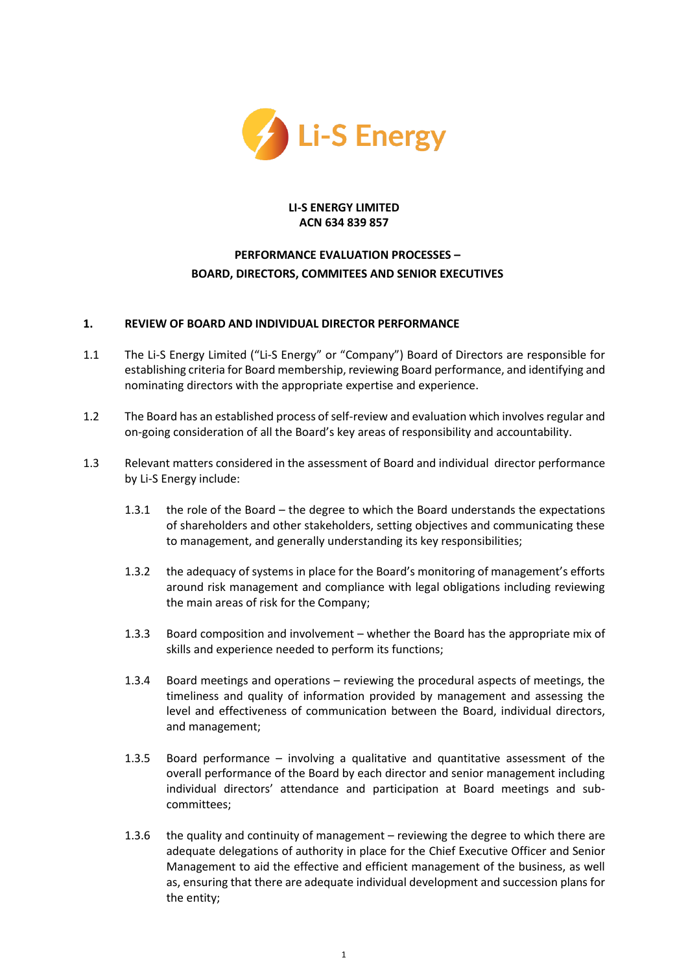

#### **LI-S ENERGY LIMITED ACN 634 839 857**

# **PERFORMANCE EVALUATION PROCESSES – BOARD, DIRECTORS, COMMITEES AND SENIOR EXECUTIVES**

## **1. REVIEW OF BOARD AND INDIVIDUAL DIRECTOR PERFORMANCE**

- 1.1 The Li-S Energy Limited ("Li-S Energy" or "Company") Board of Directors are responsible for establishing criteria for Board membership, reviewing Board performance, and identifying and nominating directors with the appropriate expertise and experience.
- 1.2 The Board has an established process of self-review and evaluation which involves regular and on-going consideration of all the Board's key areas of responsibility and accountability.
- 1.3 Relevant matters considered in the assessment of Board and individual director performance by Li-S Energy include:
	- 1.3.1 the role of the Board the degree to which the Board understands the expectations of shareholders and other stakeholders, setting objectives and communicating these to management, and generally understanding its key responsibilities;
	- 1.3.2 the adequacy of systems in place for the Board's monitoring of management's efforts around risk management and compliance with legal obligations including reviewing the main areas of risk for the Company;
	- 1.3.3 Board composition and involvement whether the Board has the appropriate mix of skills and experience needed to perform its functions;
	- 1.3.4 Board meetings and operations reviewing the procedural aspects of meetings, the timeliness and quality of information provided by management and assessing the level and effectiveness of communication between the Board, individual directors, and management;
	- 1.3.5 Board performance involving a qualitative and quantitative assessment of the overall performance of the Board by each director and senior management including individual directors' attendance and participation at Board meetings and subcommittees;
	- 1.3.6 the quality and continuity of management reviewing the degree to which there are adequate delegations of authority in place for the Chief Executive Officer and Senior Management to aid the effective and efficient management of the business, as well as, ensuring that there are adequate individual development and succession plans for the entity;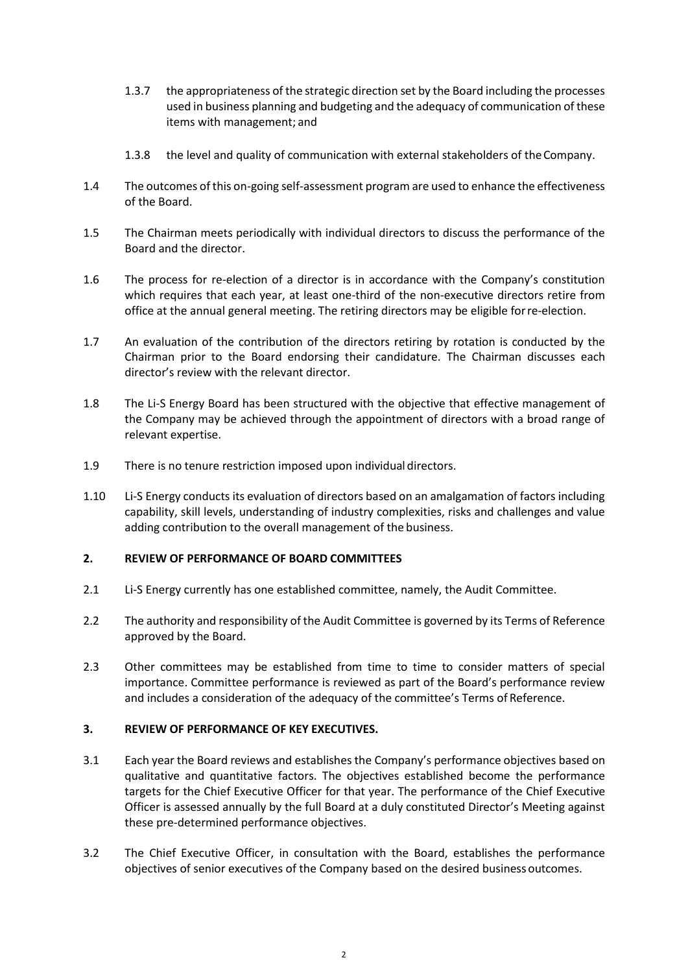- 1.3.7 the appropriateness of the strategic direction set by the Board including the processes used in business planning and budgeting and the adequacy of communication of these items with management; and
- 1.3.8 the level and quality of communication with external stakeholders of theCompany.
- 1.4 The outcomes of this on-going self-assessment program are used to enhance the effectiveness of the Board.
- 1.5 The Chairman meets periodically with individual directors to discuss the performance of the Board and the director.
- 1.6 The process for re-election of a director is in accordance with the Company's constitution which requires that each year, at least one-third of the non-executive directors retire from office at the annual general meeting. The retiring directors may be eligible forre-election.
- 1.7 An evaluation of the contribution of the directors retiring by rotation is conducted by the Chairman prior to the Board endorsing their candidature. The Chairman discusses each director's review with the relevant director.
- 1.8 The Li-S Energy Board has been structured with the objective that effective management of the Company may be achieved through the appointment of directors with a broad range of relevant expertise.
- 1.9 There is no tenure restriction imposed upon individual directors.
- 1.10 Li-S Energy conducts its evaluation of directors based on an amalgamation of factors including capability, skill levels, understanding of industry complexities, risks and challenges and value adding contribution to the overall management of the business.

#### **2. REVIEW OF PERFORMANCE OF BOARD COMMITTEES**

- 2.1 Li-S Energy currently has one established committee, namely, the Audit Committee.
- 2.2 The authority and responsibility of the Audit Committee is governed by its Terms of Reference approved by the Board.
- 2.3 Other committees may be established from time to time to consider matters of special importance. Committee performance is reviewed as part of the Board's performance review and includes a consideration of the adequacy of the committee's Terms of Reference.

# **3. REVIEW OF PERFORMANCE OF KEY EXECUTIVES.**

- 3.1 Each year the Board reviews and establishes the Company's performance objectives based on qualitative and quantitative factors. The objectives established become the performance targets for the Chief Executive Officer for that year. The performance of the Chief Executive Officer is assessed annually by the full Board at a duly constituted Director's Meeting against these pre-determined performance objectives.
- 3.2 The Chief Executive Officer, in consultation with the Board, establishes the performance objectives of senior executives of the Company based on the desired business outcomes.